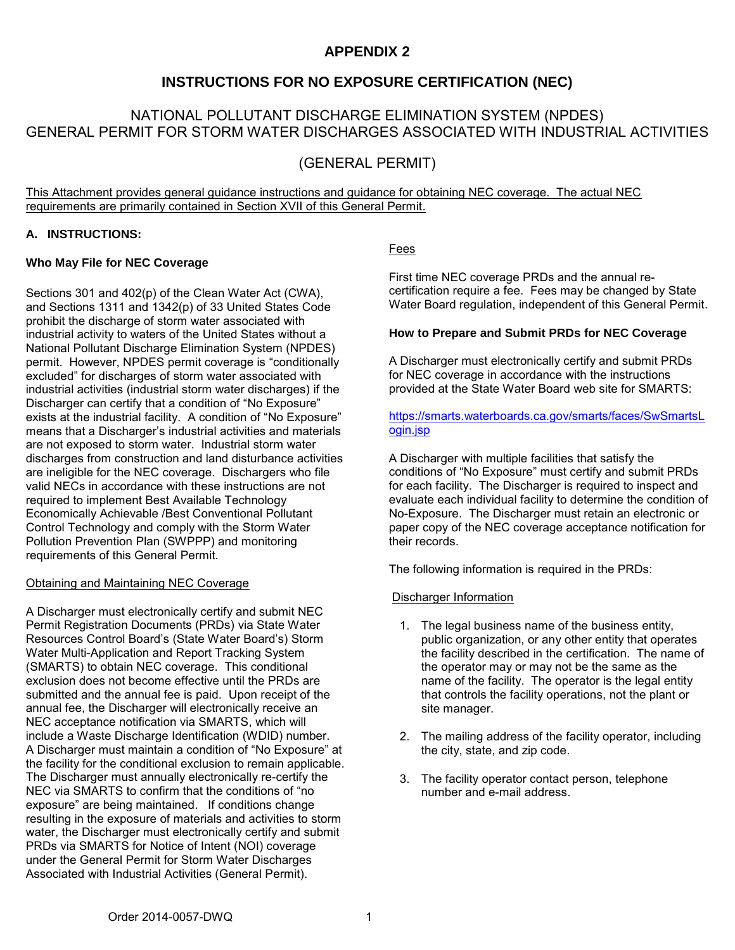# **APPENDIX 2**

# **INSTRUCTIONS FOR NO EXPOSURE CERTIFICATION (NEC)**

# NATIONAL POLLUTANT DISCHARGE ELIMINATION SYSTEM (NPDES) GENERAL PERMIT FOR STORM WATER DISCHARGES ASSOCIATED WITH INDUSTRIAL ACTIVITIES

# (GENERAL PERMIT)

This Attachment provides general guidance instructions and guidance for obtaining NEC coverage. The actual NEC requirements are primarily contained in Section XVII of this General Permit.

# **A. INSTRUCTIONS:**

### **Who May File for NEC Coverage**

Sections 301 and 402(p) of the Clean Water Act (CWA), and Sections 1311 and 1342(p) of 33 United States Code prohibit the discharge of storm water associated with industrial activity to waters of the United States without a National Pollutant Discharge Elimination System (NPDES) permit. However, NPDES permit coverage is "conditionally excluded" for discharges of storm water associated with industrial activities (industrial storm water discharges) if the Discharger can certify that a condition of "No Exposure" exists at the industrial facility. A condition of "No Exposure" means that a Discharger's industrial activities and materials are not exposed to storm water. Industrial storm water discharges from construction and land disturbance activities are ineligible for the NEC coverage. Dischargers who file valid NECs in accordance with these instructions are not required to implement Best Available Technology Economically Achievable /Best Conventional Pollutant Control Technology and comply with the Storm Water Pollution Prevention Plan (SWPPP) and monitoring requirements of this General Permit.

#### Obtaining and Maintaining NEC Coverage

A Discharger must electronically certify and submit NEC Permit Registration Documents (PRDs) via State Water Resources Control Board's (State Water Board's) Storm Water Multi-Application and Report Tracking System (SMARTS) to obtain NEC coverage. This conditional exclusion does not become effective until the PRDs are submitted and the annual fee is paid. Upon receipt of the annual fee, the Discharger will electronically receive an NEC acceptance notification via SMARTS, which will include a Waste Discharge Identification (WDID) number. A Discharger must maintain a condition of "No Exposure" at the facility for the conditional exclusion to remain applicable. The Discharger must annually electronically re-certify the NEC via SMARTS to confirm that the conditions of "no exposure" are being maintained. If conditions change resulting in the exposure of materials and activities to storm water, the Discharger must electronically certify and submit PRDs via SMARTS for Notice of Intent (NOI) coverage under the General Permit for Storm Water Discharges Associated with Industrial Activities (General Permit).

# Fees

First time NEC coverage PRDs and the annual recertification require a fee. Fees may be changed by State Water Board regulation, independent of this General Permit.

### **How to Prepare and Submit PRDs for NEC Coverage**

A Discharger must electronically certify and submit PRDs for NEC coverage in accordance with the instructions provided at the State Water Board web site for SMARTS:

# [https://smarts.waterboards.ca.gov/smarts/faces/SwSmartsL](https://smarts.waterboards.ca.gov/smarts/faces/SwSmartsLogin.jsp) [ogin.jsp](https://smarts.waterboards.ca.gov/smarts/faces/SwSmartsLogin.jsp)

A Discharger with multiple facilities that satisfy the conditions of "No Exposure" must certify and submit PRDs for each facility. The Discharger is required to inspect and evaluate each individual facility to determine the condition of No-Exposure. The Discharger must retain an electronic or paper copy of the NEC coverage acceptance notification for their records.

The following information is required in the PRDs:

# Discharger Information

- 1. The legal business name of the business entity, public organization, or any other entity that operates the facility described in the certification. The name of the operator may or may not be the same as the name of the facility. The operator is the legal entity that controls the facility operations, not the plant or site manager.
- 2. The mailing address of the facility operator, including the city, state, and zip code.
- 3. The facility operator contact person, telephone number and e-mail address.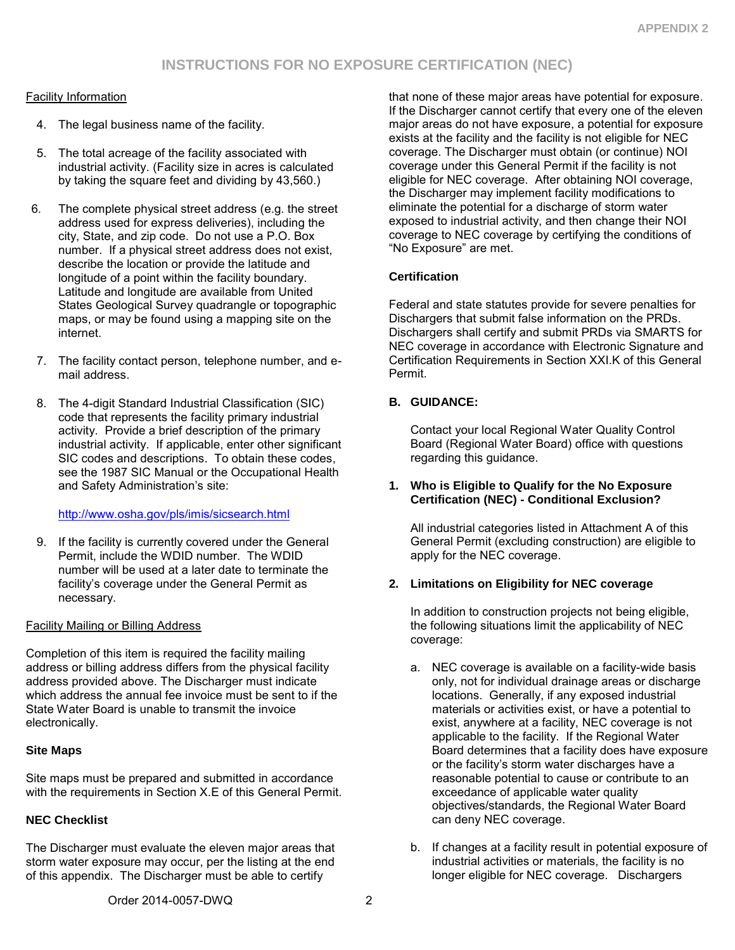# Facility Information

- 4. The legal business name of the facility.
- 5. The total acreage of the facility associated with industrial activity. (Facility size in acres is calculated by taking the square feet and dividing by 43,560.)
- 6. The complete physical street address (e.g. the street address used for express deliveries), including the city, State, and zip code. Do not use a P.O. Box number. If a physical street address does not exist, describe the location or provide the latitude and longitude of a point within the facility boundary. Latitude and longitude are available from United States Geological Survey quadrangle or topographic maps, or may be found using a mapping site on the internet.
- 7. The facility contact person, telephone number, and email address.
- 8. The 4-digit Standard Industrial Classification (SIC) code that represents the facility primary industrial activity. Provide a brief description of the primary industrial activity. If applicable, enter other significant SIC codes and descriptions. To obtain these codes, see the 1987 SIC Manual or the Occupational Health and Safety Administration's site:

# <http://www.osha.gov/pls/imis/sicsearch.html>

9. If the facility is currently covered under the General Permit, include the WDID number. The WDID number will be used at a later date to terminate the facility's coverage under the General Permit as necessary.

# Facility Mailing or Billing Address

Completion of this item is required the facility mailing address or billing address differs from the physical facility address provided above. The Discharger must indicate which address the annual fee invoice must be sent to if the State Water Board is unable to transmit the invoice electronically.

# **Site Maps**

Site maps must be prepared and submitted in accordance with the requirements in Section X.E of this General Permit.

# **NEC Checklist**

The Discharger must evaluate the eleven major areas that storm water exposure may occur, per the listing at the end of this appendix. The Discharger must be able to certify

that none of these major areas have potential for exposure. If the Discharger cannot certify that every one of the eleven major areas do not have exposure, a potential for exposure exists at the facility and the facility is not eligible for NEC coverage. The Discharger must obtain (or continue) NOI coverage under this General Permit if the facility is not eligible for NEC coverage. After obtaining NOI coverage, the Discharger may implement facility modifications to eliminate the potential for a discharge of storm water exposed to industrial activity, and then change their NOI coverage to NEC coverage by certifying the conditions of "No Exposure" are met.

# **Certification**

Federal and state statutes provide for severe penalties for Dischargers that submit false information on the PRDs. Dischargers shall certify and submit PRDs via SMARTS for NEC coverage in accordance with Electronic Signature and Certification Requirements in Section XXI.K of this General Permit.

### **B. GUIDANCE:**

Contact your local Regional Water Quality Control Board (Regional Water Board) office with questions regarding this guidance.

#### **1. Who is Eligible to Qualify for the No Exposure Certification (NEC) - Conditional Exclusion?**

All industrial categories listed in Attachment A of this General Permit (excluding construction) are eligible to apply for the NEC coverage.

# **2. Limitations on Eligibility for NEC coverage**

In addition to construction projects not being eligible, the following situations limit the applicability of NEC coverage:

- a. NEC coverage is available on a facility-wide basis only, not for individual drainage areas or discharge locations. Generally, if any exposed industrial materials or activities exist, or have a potential to exist, anywhere at a facility, NEC coverage is not applicable to the facility. If the Regional Water Board determines that a facility does have exposure or the facility's storm water discharges have a reasonable potential to cause or contribute to an exceedance of applicable water quality objectives/standards, the Regional Water Board can deny NEC coverage.
- b. If changes at a facility result in potential exposure of industrial activities or materials, the facility is no longer eligible for NEC coverage. Dischargers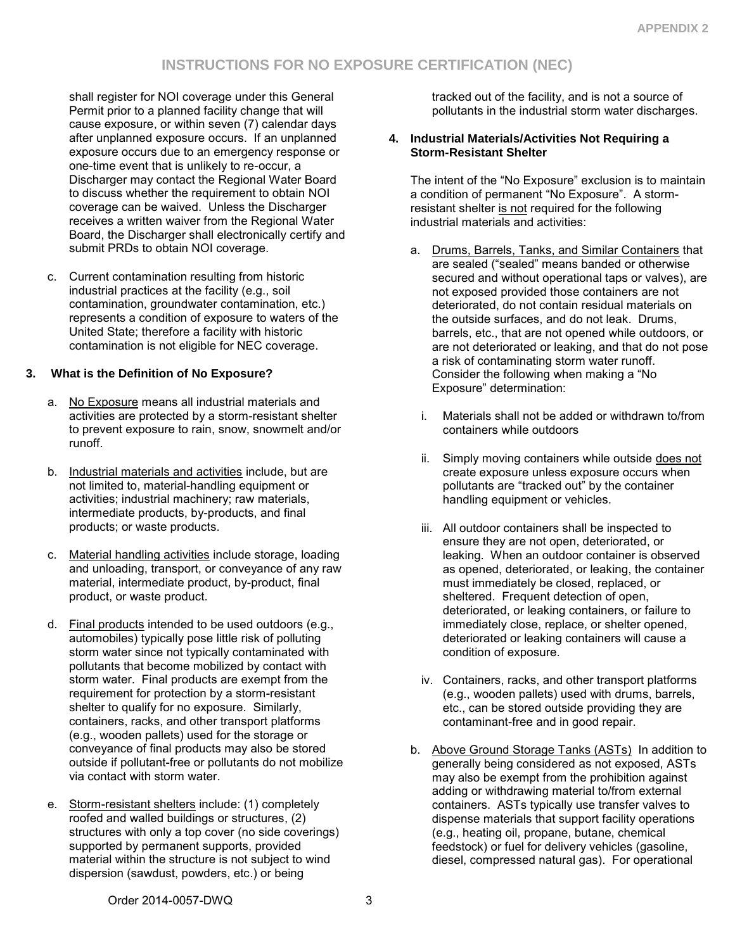shall register for NOI coverage under this General Permit prior to a planned facility change that will cause exposure, or within seven (7) calendar days after unplanned exposure occurs. If an unplanned exposure occurs due to an emergency response or one-time event that is unlikely to re-occur, a Discharger may contact the Regional Water Board to discuss whether the requirement to obtain NOI coverage can be waived. Unless the Discharger receives a written waiver from the Regional Water Board, the Discharger shall electronically certify and submit PRDs to obtain NOI coverage.

c. Current contamination resulting from historic industrial practices at the facility (e.g., soil contamination, groundwater contamination, etc.) represents a condition of exposure to waters of the United State; therefore a facility with historic contamination is not eligible for NEC coverage.

# **3. What is the Definition of No Exposure?**

- a. No Exposure means all industrial materials and activities are protected by a storm-resistant shelter to prevent exposure to rain, snow, snowmelt and/or runoff.
- b. Industrial materials and activities include, but are not limited to, material-handling equipment or activities; industrial machinery; raw materials, intermediate products, by-products, and final products; or waste products.
- c. Material handling activities include storage, loading and unloading, transport, or conveyance of any raw material, intermediate product, by-product, final product, or waste product.
- d. Final products intended to be used outdoors (e.g., automobiles) typically pose little risk of polluting storm water since not typically contaminated with pollutants that become mobilized by contact with storm water. Final products are exempt from the requirement for protection by a storm-resistant shelter to qualify for no exposure. Similarly, containers, racks, and other transport platforms (e.g., wooden pallets) used for the storage or conveyance of final products may also be stored outside if pollutant-free or pollutants do not mobilize via contact with storm water.
- e. Storm-resistant shelters include: (1) completely roofed and walled buildings or structures, (2) structures with only a top cover (no side coverings) supported by permanent supports, provided material within the structure is not subject to wind dispersion (sawdust, powders, etc.) or being

tracked out of the facility, and is not a source of pollutants in the industrial storm water discharges.

# **4. Industrial Materials/Activities Not Requiring a Storm-Resistant Shelter**

The intent of the "No Exposure" exclusion is to maintain a condition of permanent "No Exposure". A stormresistant shelter is not required for the following industrial materials and activities:

- a. Drums, Barrels, Tanks, and Similar Containers that are sealed ("sealed" means banded or otherwise secured and without operational taps or valves), are not exposed provided those containers are not deteriorated, do not contain residual materials on the outside surfaces, and do not leak. Drums, barrels, etc., that are not opened while outdoors, or are not deteriorated or leaking, and that do not pose a risk of contaminating storm water runoff. Consider the following when making a "No Exposure" determination:
	- i. Materials shall not be added or withdrawn to/from containers while outdoors
	- ii. Simply moving containers while outside does not create exposure unless exposure occurs when pollutants are "tracked out" by the container handling equipment or vehicles.
	- iii. All outdoor containers shall be inspected to ensure they are not open, deteriorated, or leaking. When an outdoor container is observed as opened, deteriorated, or leaking, the container must immediately be closed, replaced, or sheltered. Frequent detection of open, deteriorated, or leaking containers, or failure to immediately close, replace, or shelter opened, deteriorated or leaking containers will cause a condition of exposure.
	- iv. Containers, racks, and other transport platforms (e.g., wooden pallets) used with drums, barrels, etc., can be stored outside providing they are contaminant-free and in good repair.
- b. Above Ground Storage Tanks (ASTs) In addition to generally being considered as not exposed, ASTs may also be exempt from the prohibition against adding or withdrawing material to/from external containers. ASTs typically use transfer valves to dispense materials that support facility operations (e.g., heating oil, propane, butane, chemical feedstock) or fuel for delivery vehicles (gasoline, diesel, compressed natural gas). For operational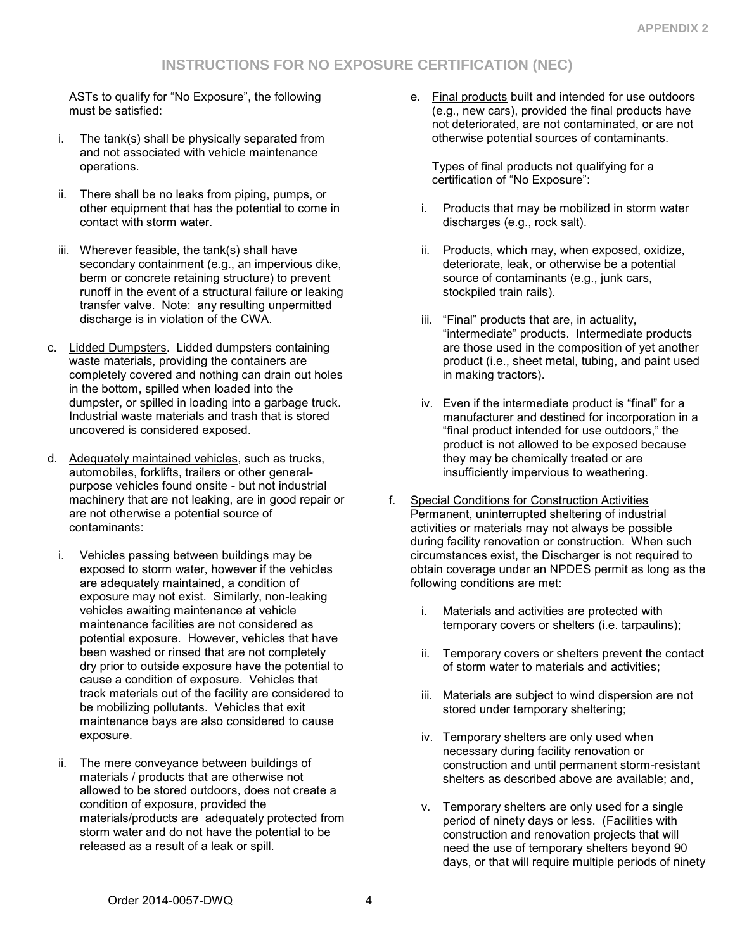# **INSTRUCTIONS FOR NO EXPOSURE CERTIFICATION (NEC)**

ASTs to qualify for "No Exposure", the following must be satisfied:

- i. The tank(s) shall be physically separated from and not associated with vehicle maintenance operations.
- ii. There shall be no leaks from piping, pumps, or other equipment that has the potential to come in contact with storm water.
- iii. Wherever feasible, the tank(s) shall have secondary containment (e.g., an impervious dike, berm or concrete retaining structure) to prevent runoff in the event of a structural failure or leaking transfer valve. Note: any resulting unpermitted discharge is in violation of the CWA.
- c. Lidded Dumpsters. Lidded dumpsters containing waste materials, providing the containers are completely covered and nothing can drain out holes in the bottom, spilled when loaded into the dumpster, or spilled in loading into a garbage truck. Industrial waste materials and trash that is stored uncovered is considered exposed.
- d. Adequately maintained vehicles, such as trucks, automobiles, forklifts, trailers or other generalpurpose vehicles found onsite - but not industrial machinery that are not leaking, are in good repair or are not otherwise a potential source of contaminants:
	- i. Vehicles passing between buildings may be exposed to storm water, however if the vehicles are adequately maintained, a condition of exposure may not exist. Similarly, non-leaking vehicles awaiting maintenance at vehicle maintenance facilities are not considered as potential exposure. However, vehicles that have been washed or rinsed that are not completely dry prior to outside exposure have the potential to cause a condition of exposure. Vehicles that track materials out of the facility are considered to be mobilizing pollutants. Vehicles that exit maintenance bays are also considered to cause exposure.
	- ii. The mere conveyance between buildings of materials / products that are otherwise not allowed to be stored outdoors, does not create a condition of exposure, provided the materials/products are adequately protected from storm water and do not have the potential to be released as a result of a leak or spill.

e. Final products built and intended for use outdoors (e.g., new cars), provided the final products have not deteriorated, are not contaminated, or are not otherwise potential sources of contaminants.

Types of final products not qualifying for a certification of "No Exposure":

- i. Products that may be mobilized in storm water discharges (e.g., rock salt).
- ii. Products, which may, when exposed, oxidize, deteriorate, leak, or otherwise be a potential source of contaminants (e.g., junk cars, stockpiled train rails).
- iii. "Final" products that are, in actuality, "intermediate" products. Intermediate products are those used in the composition of yet another product (i.e., sheet metal, tubing, and paint used in making tractors).
- iv. Even if the intermediate product is "final" for a manufacturer and destined for incorporation in a "final product intended for use outdoors," the product is not allowed to be exposed because they may be chemically treated or are insufficiently impervious to weathering.
- f. Special Conditions for Construction Activities Permanent, uninterrupted sheltering of industrial activities or materials may not always be possible during facility renovation or construction. When such circumstances exist, the Discharger is not required to obtain coverage under an NPDES permit as long as the following conditions are met:
	- i. Materials and activities are protected with temporary covers or shelters (i.e. tarpaulins);
	- ii. Temporary covers or shelters prevent the contact of storm water to materials and activities;
	- iii. Materials are subject to wind dispersion are not stored under temporary sheltering;
	- iv. Temporary shelters are only used when necessary during facility renovation or construction and until permanent storm-resistant shelters as described above are available; and,
	- v. Temporary shelters are only used for a single period of ninety days or less. (Facilities with construction and renovation projects that will need the use of temporary shelters beyond 90 days, or that will require multiple periods of ninety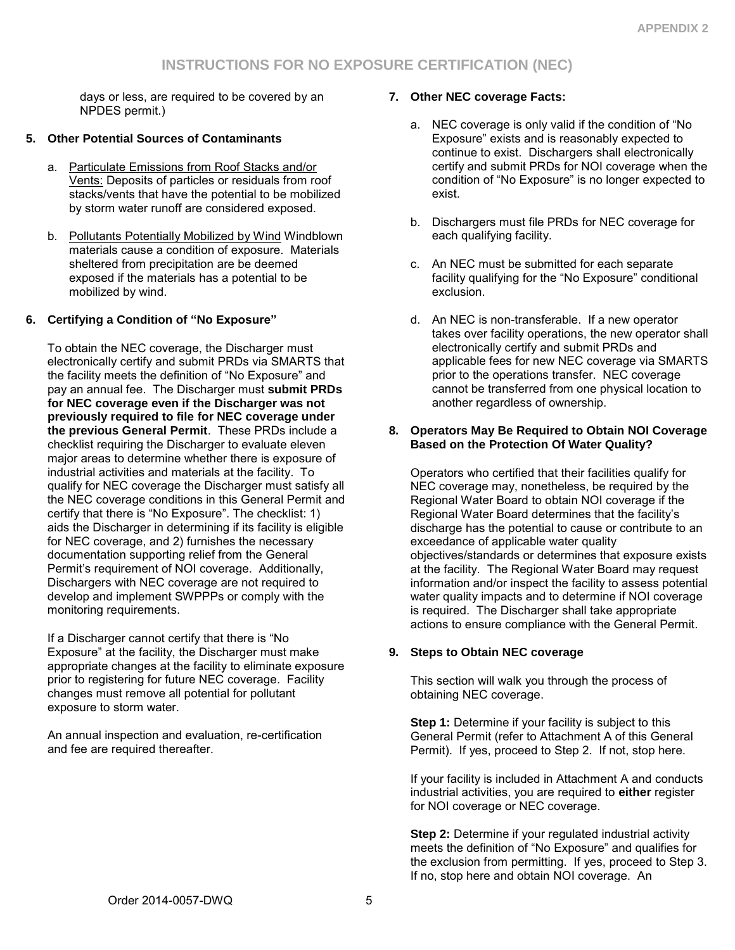days or less, are required to be covered by an NPDES permit.)

# **5. Other Potential Sources of Contaminants**

- a. Particulate Emissions from Roof Stacks and/or Vents: Deposits of particles or residuals from roof stacks/vents that have the potential to be mobilized by storm water runoff are considered exposed.
- b. Pollutants Potentially Mobilized by Wind Windblown materials cause a condition of exposure. Materials sheltered from precipitation are be deemed exposed if the materials has a potential to be mobilized by wind.

# **6. Certifying a Condition of "No Exposure"**

To obtain the NEC coverage, the Discharger must electronically certify and submit PRDs via SMARTS that the facility meets the definition of "No Exposure" and pay an annual fee. The Discharger must **submit PRDs for NEC coverage even if the Discharger was not previously required to file for NEC coverage under the previous General Permit**. These PRDs include a checklist requiring the Discharger to evaluate eleven major areas to determine whether there is exposure of industrial activities and materials at the facility. To qualify for NEC coverage the Discharger must satisfy all the NEC coverage conditions in this General Permit and certify that there is "No Exposure". The checklist: 1) aids the Discharger in determining if its facility is eligible for NEC coverage, and 2) furnishes the necessary documentation supporting relief from the General Permit's requirement of NOI coverage. Additionally, Dischargers with NEC coverage are not required to develop and implement SWPPPs or comply with the monitoring requirements.

If a Discharger cannot certify that there is "No Exposure" at the facility, the Discharger must make appropriate changes at the facility to eliminate exposure prior to registering for future NEC coverage. Facility changes must remove all potential for pollutant exposure to storm water.

An annual inspection and evaluation, re-certification and fee are required thereafter.

# **7. Other NEC coverage Facts:**

- a. NEC coverage is only valid if the condition of "No Exposure" exists and is reasonably expected to continue to exist. Dischargers shall electronically certify and submit PRDs for NOI coverage when the condition of "No Exposure" is no longer expected to exist.
- b. Dischargers must file PRDs for NEC coverage for each qualifying facility.
- c. An NEC must be submitted for each separate facility qualifying for the "No Exposure" conditional exclusion.
- d. An NEC is non-transferable. If a new operator takes over facility operations, the new operator shall electronically certify and submit PRDs and applicable fees for new NEC coverage via SMARTS prior to the operations transfer. NEC coverage cannot be transferred from one physical location to another regardless of ownership.

#### **8. Operators May Be Required to Obtain NOI Coverage Based on the Protection Of Water Quality?**

Operators who certified that their facilities qualify for NEC coverage may, nonetheless, be required by the Regional Water Board to obtain NOI coverage if the Regional Water Board determines that the facility's discharge has the potential to cause or contribute to an exceedance of applicable water quality objectives/standards or determines that exposure exists at the facility. The Regional Water Board may request information and/or inspect the facility to assess potential water quality impacts and to determine if NOI coverage is required. The Discharger shall take appropriate actions to ensure compliance with the General Permit.

# **9. Steps to Obtain NEC coverage**

This section will walk you through the process of obtaining NEC coverage.

**Step 1:** Determine if your facility is subject to this General Permit (refer to Attachment A of this General Permit). If yes, proceed to Step 2. If not, stop here.

If your facility is included in Attachment A and conducts industrial activities, you are required to **either** register for NOI coverage or NEC coverage.

**Step 2:** Determine if your regulated industrial activity meets the definition of "No Exposure" and qualifies for the exclusion from permitting. If yes, proceed to Step 3. If no, stop here and obtain NOI coverage. An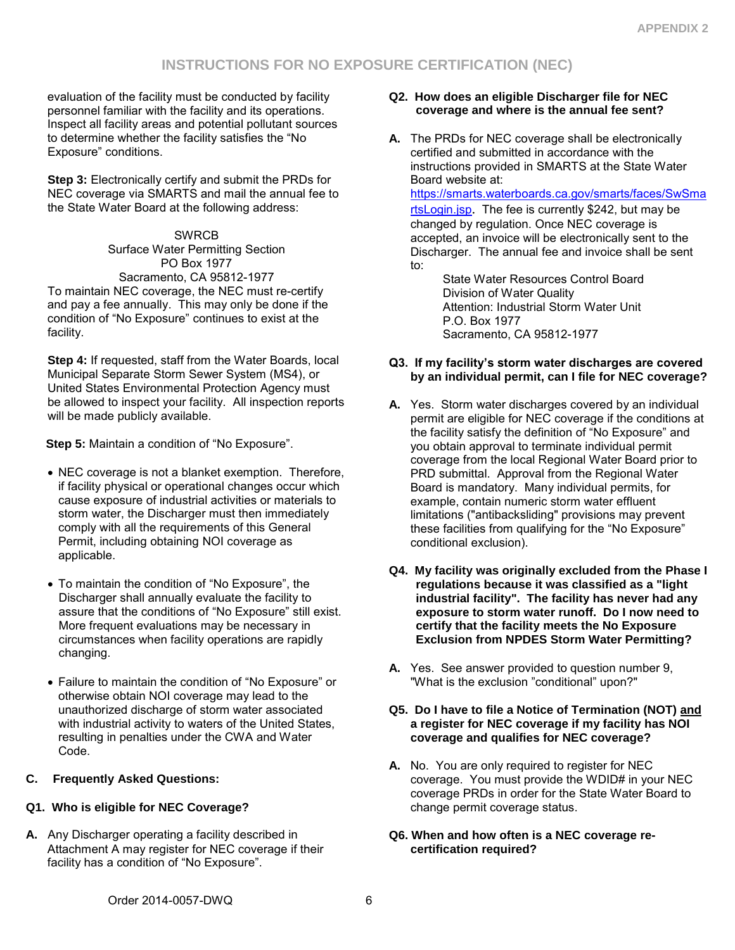# **INSTRUCTIONS FOR NO EXPOSURE CERTIFICATION (NEC)**

evaluation of the facility must be conducted by facility personnel familiar with the facility and its operations. Inspect all facility areas and potential pollutant sources to determine whether the facility satisfies the "No Exposure" conditions.

**Step 3: Electronically certify and submit the PRDs for** NEC coverage via SMARTS and mail the annual fee to the State Water Board at the following address:

**SWRCB** Surface Water Permitting Section PO Box 1977 Sacramento, CA 95812-1977 To maintain NEC coverage, the NEC must re-certify and pay a fee annually. This may only be done if the condition of "No Exposure" continues to exist at the facility.

**Step 4:** If requested, staff from the Water Boards, local Municipal Separate Storm Sewer System (MS4), or United States Environmental Protection Agency must be allowed to inspect your facility. All inspection reports will be made publicly available.

 **Step 5:** Maintain a condition of "No Exposure".

- NEC coverage is not a blanket exemption. Therefore, if facility physical or operational changes occur which cause exposure of industrial activities or materials to storm water, the Discharger must then immediately comply with all the requirements of this General Permit, including obtaining NOI coverage as applicable.
- To maintain the condition of "No Exposure", the Discharger shall annually evaluate the facility to assure that the conditions of "No Exposure" still exist. More frequent evaluations may be necessary in circumstances when facility operations are rapidly changing.
- Failure to maintain the condition of "No Exposure" or otherwise obtain NOI coverage may lead to the unauthorized discharge of storm water associated with industrial activity to waters of the United States, resulting in penalties under the CWA and Water Code.

# **C. Frequently Asked Questions:**

# **Q1. Who is eligible for NEC Coverage?**

**A.** Any Discharger operating a facility described in Attachment A may register for NEC coverage if their facility has a condition of "No Exposure".

### **Q2. How does an eligible Discharger file for NEC coverage and where is the annual fee sent?**

**A.** The PRDs for NEC coverage shall be electronically certified and submitted in accordance with the instructions provided in SMARTS at the State Water Board website at: [https://smarts.waterboards.ca.gov/smarts/faces/SwSma](https://smarts.waterboards.ca.gov/smarts/faces/SwSmartsLogin.jsp) [rtsLogin.jsp](https://smarts.waterboards.ca.gov/smarts/faces/SwSmartsLogin.jsp). The fee is currently \$242, but may be changed by regulation. Once NEC coverage is accepted, an invoice will be electronically sent to the

Discharger. The annual fee and invoice shall be sent to:

State Water Resources Control Board Division of Water Quality Attention: Industrial Storm Water Unit P.O. Box 1977 Sacramento, CA 95812-1977

#### **Q3. If my facility's storm water discharges are covered by an individual permit, can I file for NEC coverage?**

- **A.** Yes. Storm water discharges covered by an individual permit are eligible for NEC coverage if the conditions at the facility satisfy the definition of "No Exposure" and you obtain approval to terminate individual permit coverage from the local Regional Water Board prior to PRD submittal. Approval from the Regional Water Board is mandatory. Many individual permits, for example, contain numeric storm water effluent limitations ("antibacksliding" provisions may prevent these facilities from qualifying for the "No Exposure" conditional exclusion).
- **Q4. My facility was originally excluded from the Phase I regulations because it was classified as a "light industrial facility". The facility has never had any exposure to storm water runoff. Do I now need to certify that the facility meets the No Exposure Exclusion from NPDES Storm Water Permitting?**
- **A.** Yes. See answer provided to question number 9, "What is the exclusion "conditional" upon?"

#### **Q5. Do I have to file a Notice of Termination (NOT) and a register for NEC coverage if my facility has NOI coverage and qualifies for NEC coverage?**

- **A.** No. You are only required to register for NEC coverage. You must provide the WDID# in your NEC coverage PRDs in order for the State Water Board to change permit coverage status.
- **Q6. When and how often is a NEC coverage recertification required?**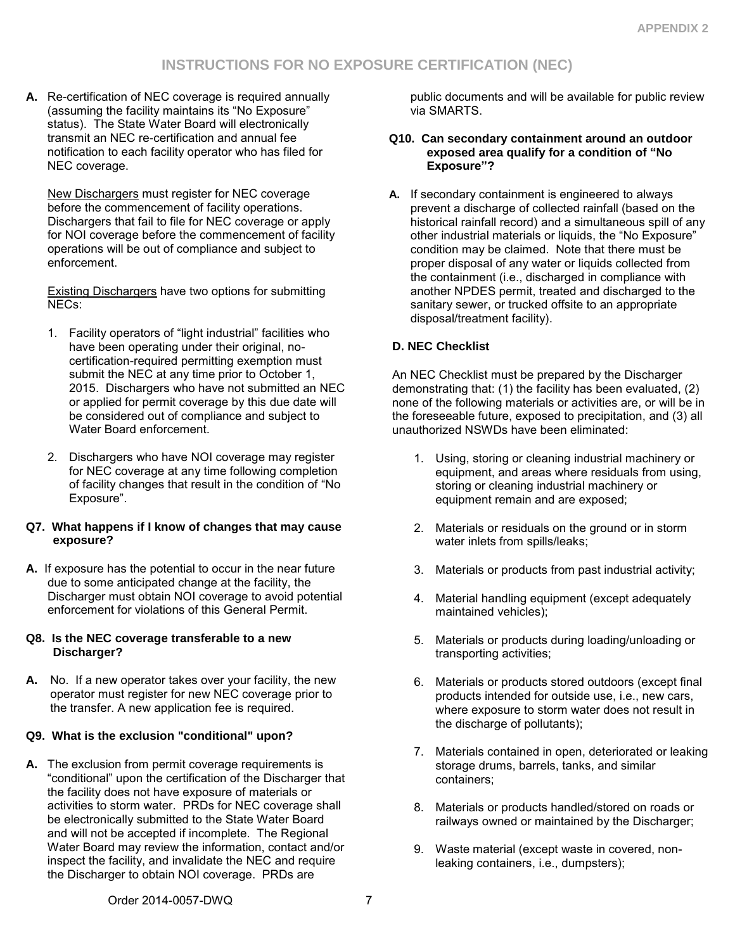**A.** Re-certification of NEC coverage is required annually (assuming the facility maintains its "No Exposure" status). The State Water Board will electronically transmit an NEC re-certification and annual fee notification to each facility operator who has filed for NEC coverage.

New Dischargers must register for NEC coverage before the commencement of facility operations. Dischargers that fail to file for NEC coverage or apply for NOI coverage before the commencement of facility operations will be out of compliance and subject to enforcement.

Existing Dischargers have two options for submitting NECs:

- 1. Facility operators of "light industrial" facilities who have been operating under their original, nocertification-required permitting exemption must submit the NEC at any time prior to October 1, 2015. Dischargers who have not submitted an NEC or applied for permit coverage by this due date will be considered out of compliance and subject to Water Board enforcement.
- 2. Dischargers who have NOI coverage may register for NEC coverage at any time following completion of facility changes that result in the condition of "No Exposure".

# **Q7. What happens if I know of changes that may cause exposure?**

**A.** If exposure has the potential to occur in the near future due to some anticipated change at the facility, the Discharger must obtain NOI coverage to avoid potential enforcement for violations of this General Permit.

### **Q8. Is the NEC coverage transferable to a new Discharger?**

**A.** No. If a new operator takes over your facility, the new operator must register for new NEC coverage prior to the transfer. A new application fee is required.

# **Q9. What is the exclusion "conditional" upon?**

**A.** The exclusion from permit coverage requirements is "conditional" upon the certification of the Discharger that the facility does not have exposure of materials or activities to storm water. PRDs for NEC coverage shall be electronically submitted to the State Water Board and will not be accepted if incomplete. The Regional Water Board may review the information, contact and/or inspect the facility, and invalidate the NEC and require the Discharger to obtain NOI coverage. PRDs are

public documents and will be available for public review via SMARTS.

#### **Q10. Can secondary containment around an outdoor exposed area qualify for a condition of "No Exposure"?**

**A.** If secondary containment is engineered to always prevent a discharge of collected rainfall (based on the historical rainfall record) and a simultaneous spill of any other industrial materials or liquids, the "No Exposure" condition may be claimed. Note that there must be proper disposal of any water or liquids collected from the containment (i.e., discharged in compliance with another NPDES permit, treated and discharged to the sanitary sewer, or trucked offsite to an appropriate disposal/treatment facility).

# **D. NEC Checklist**

An NEC Checklist must be prepared by the Discharger demonstrating that: (1) the facility has been evaluated, (2) none of the following materials or activities are, or will be in the foreseeable future, exposed to precipitation, and (3) all unauthorized NSWDs have been eliminated:

- 1. Using, storing or cleaning industrial machinery or equipment, and areas where residuals from using, storing or cleaning industrial machinery or equipment remain and are exposed;
- 2. Materials or residuals on the ground or in storm water inlets from spills/leaks;
- 3. Materials or products from past industrial activity;
- 4. Material handling equipment (except adequately maintained vehicles);
- 5. Materials or products during loading/unloading or transporting activities;
- 6. Materials or products stored outdoors (except final products intended for outside use, i.e., new cars, where exposure to storm water does not result in the discharge of pollutants);
- 7. Materials contained in open, deteriorated or leaking storage drums, barrels, tanks, and similar containers;
- 8. Materials or products handled/stored on roads or railways owned or maintained by the Discharger;
- 9. Waste material (except waste in covered, nonleaking containers, i.e., dumpsters);